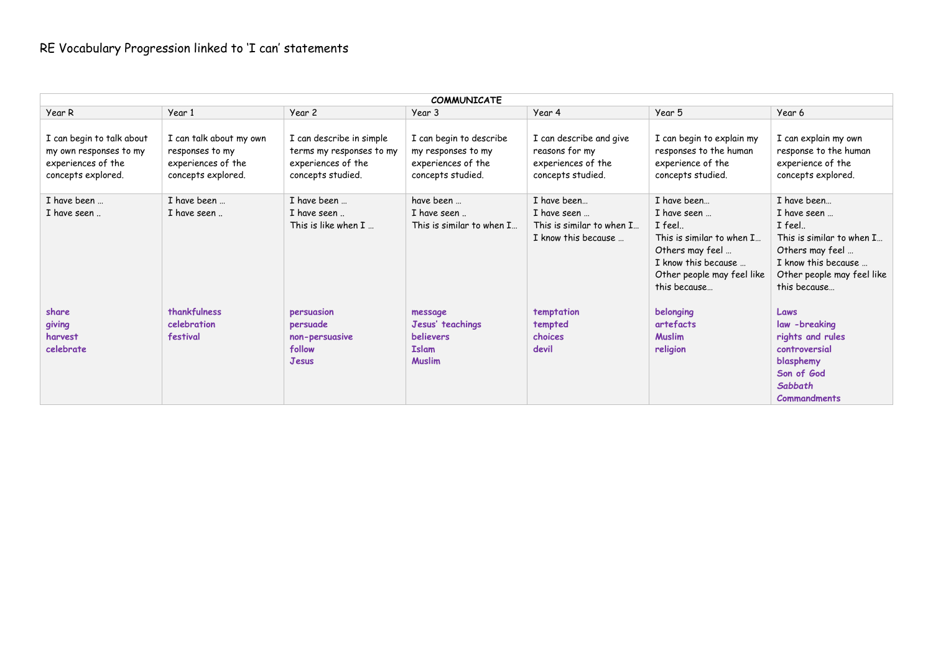| <b>COMMUNICATE</b>                                                                              |                                                                                        |                                                                                                 |                                                                                          |                                                                                      |                                                                                                                                            |                                                                                                                                            |  |
|-------------------------------------------------------------------------------------------------|----------------------------------------------------------------------------------------|-------------------------------------------------------------------------------------------------|------------------------------------------------------------------------------------------|--------------------------------------------------------------------------------------|--------------------------------------------------------------------------------------------------------------------------------------------|--------------------------------------------------------------------------------------------------------------------------------------------|--|
| Year R                                                                                          | Year 1                                                                                 | Year 2                                                                                          | Year 3                                                                                   | Year 4                                                                               | Year 5                                                                                                                                     | Year 6                                                                                                                                     |  |
| I can begin to talk about<br>my own responses to my<br>experiences of the<br>concepts explored. | I can talk about my own<br>responses to my<br>experiences of the<br>concepts explored. | I can describe in simple<br>terms my responses to my<br>experiences of the<br>concepts studied. | I can begin to describe<br>my responses to my<br>experiences of the<br>concepts studied. | I can describe and give<br>reasons for my<br>experiences of the<br>concepts studied. | I can begin to explain my<br>responses to the human<br>experience of the<br>concepts studied.                                              | I can explain my own<br>response to the human<br>experience of the<br>concepts explored.                                                   |  |
| I have been                                                                                     | I have been                                                                            | I have been                                                                                     | have been                                                                                | I have been                                                                          | I have been                                                                                                                                | I have been                                                                                                                                |  |
| I have seen                                                                                     | I have seen                                                                            | I have seen<br>This is like when $I_{\dots}$                                                    | I have seen<br>This is similar to when I                                                 | I have seen<br>This is similar to when I<br>I know this because                      | I have seen<br>I feel<br>This is similar to when I<br>Others may feel<br>I know this because<br>Other people may feel like<br>this because | I have seen<br>I feel<br>This is similar to when I<br>Others may feel<br>I know this because<br>Other people may feel like<br>this because |  |
| share<br>giving<br>harvest<br>celebrate                                                         | thankfulness<br>celebration<br>festival                                                | persuasion<br>persuade<br>non-persuasive<br>follow<br><b>Jesus</b>                              | message<br>Jesus' teachings<br><b>believers</b><br><b>Islam</b><br><b>Muslim</b>         | temptation<br>tempted<br>choices<br>devil                                            | belonging<br>artefacts<br><b>Muslim</b><br>religion                                                                                        | Laws<br>law -breaking<br>rights and rules<br>controversial<br>blasphemy<br>Son of God<br><b>Sabbath</b><br><b>Commandments</b>             |  |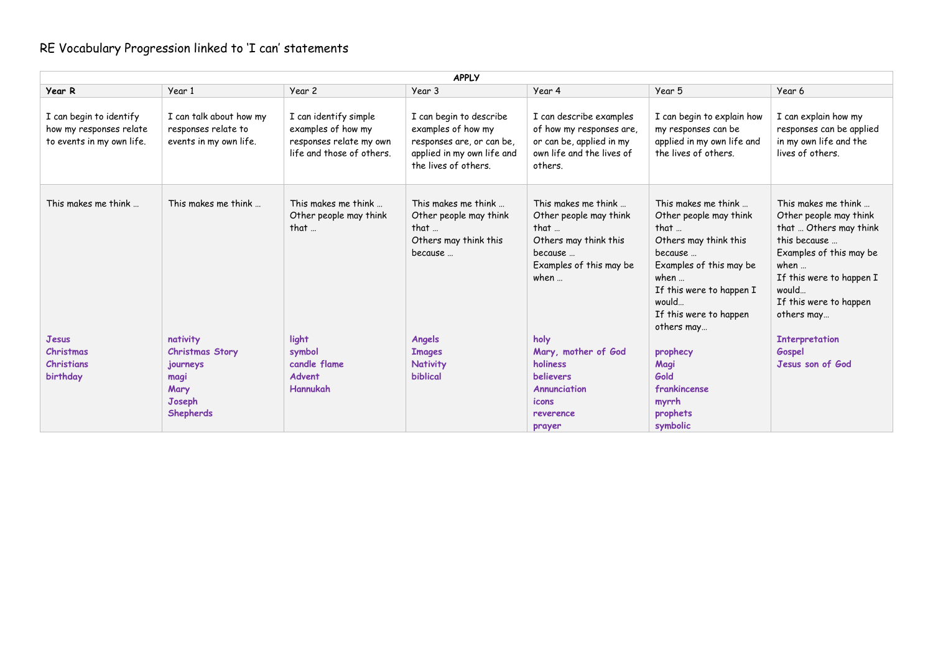| <b>APPLY</b>                                                                    |                                                                                              |                                                                                                     |                                                                                                                                  |                                                                                                                              |                                                                                                                                                                                                                             |                                                                                                                                                                                                                  |  |
|---------------------------------------------------------------------------------|----------------------------------------------------------------------------------------------|-----------------------------------------------------------------------------------------------------|----------------------------------------------------------------------------------------------------------------------------------|------------------------------------------------------------------------------------------------------------------------------|-----------------------------------------------------------------------------------------------------------------------------------------------------------------------------------------------------------------------------|------------------------------------------------------------------------------------------------------------------------------------------------------------------------------------------------------------------|--|
| Year R                                                                          | Year 1                                                                                       | Year 2                                                                                              | Year 3                                                                                                                           | Year 4                                                                                                                       | Year 5                                                                                                                                                                                                                      | Year 6                                                                                                                                                                                                           |  |
| I can begin to identify<br>how my responses relate<br>to events in my own life. | I can talk about how my<br>responses relate to<br>events in my own life.                     | I can identify simple<br>examples of how my<br>responses relate my own<br>life and those of others. | I can begin to describe<br>examples of how my<br>responses are, or can be,<br>applied in my own life and<br>the lives of others. | I can describe examples<br>of how my responses are,<br>or can be, applied in my<br>own life and the lives of<br>others.      | I can begin to explain how<br>my responses can be<br>applied in my own life and<br>the lives of others.                                                                                                                     | I can explain how my<br>responses can be applied<br>in my own life and the<br>lives of others.                                                                                                                   |  |
| This makes me think                                                             | This makes me think                                                                          | This makes me think<br>Other people may think<br>that $\ldots$                                      | This makes me think<br>Other people may think<br>that<br>Others may think this<br>because                                        | This makes me think<br>Other people may think<br>that<br>Others may think this<br>because<br>Examples of this may be<br>when | This makes me think<br>Other people may think<br>that $\ldots$<br>Others may think this<br>because<br>Examples of this may be<br>when $\ldots$<br>If this were to happen I<br>would<br>If this were to happen<br>others may | This makes me think<br>Other people may think<br>that  Others may think<br>this because<br>Examples of this may be<br>when $\ldots$<br>If this were to happen I<br>would<br>If this were to happen<br>others may |  |
| Jesus<br>Christmas<br><b>Christians</b><br>birthday                             | nativity<br><b>Christmas Story</b><br>journeys<br>magi<br>Mary<br>Joseph<br><b>Shepherds</b> | light<br>symbol<br>candle flame<br>Advent<br>Hannukah                                               | Angels<br><b>Images</b><br><b>Nativity</b><br><b>biblical</b>                                                                    | holy<br>Mary, mother of God<br>holiness<br><b>believers</b><br>Annunciation<br>icons<br>reverence<br>prayer                  | prophecy<br>Magi<br>Gold<br>frankincense<br>myrrh<br>prophets<br>symbolic                                                                                                                                                   | <b>Interpretation</b><br>Gospel<br>Jesus son of God                                                                                                                                                              |  |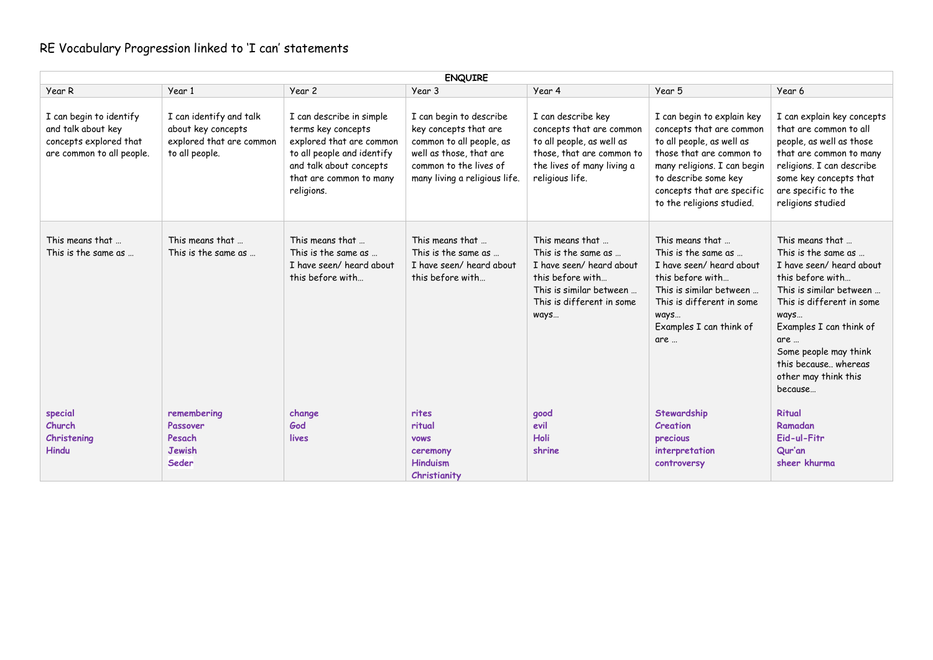| <b>ENQUIRE</b>                                                                                       |                                                                                             |                                                                                                                                                                              |                                                                                                                                                                    |                                                                                                                                                           |                                                                                                                                                                                                                                   |                                                                                                                                                                                                                                                                              |  |
|------------------------------------------------------------------------------------------------------|---------------------------------------------------------------------------------------------|------------------------------------------------------------------------------------------------------------------------------------------------------------------------------|--------------------------------------------------------------------------------------------------------------------------------------------------------------------|-----------------------------------------------------------------------------------------------------------------------------------------------------------|-----------------------------------------------------------------------------------------------------------------------------------------------------------------------------------------------------------------------------------|------------------------------------------------------------------------------------------------------------------------------------------------------------------------------------------------------------------------------------------------------------------------------|--|
| Year R                                                                                               | Year 1                                                                                      | Year <sub>2</sub>                                                                                                                                                            | Year 3                                                                                                                                                             | Year 4                                                                                                                                                    | Year 5                                                                                                                                                                                                                            | Year 6                                                                                                                                                                                                                                                                       |  |
| I can begin to identify<br>and talk about key<br>concepts explored that<br>are common to all people. | I can identify and talk<br>about key concepts<br>explored that are common<br>to all people. | I can describe in simple<br>terms key concepts<br>explored that are common<br>to all people and identify<br>and talk about concepts<br>that are common to many<br>religions. | I can begin to describe<br>key concepts that are<br>common to all people, as<br>well as those, that are<br>common to the lives of<br>many living a religious life. | I can describe key<br>concepts that are common<br>to all people, as well as<br>those, that are common to<br>the lives of many living a<br>religious life. | I can begin to explain key<br>concepts that are common<br>to all people, as well as<br>those that are common to<br>many religions. I can begin<br>to describe some key<br>concepts that are specific<br>to the religions studied. | I can explain key concepts<br>that are common to all<br>people, as well as those<br>that are common to many<br>religions. I can describe<br>some key concepts that<br>are specific to the<br>religions studied                                                               |  |
| This means that<br>This is the same as                                                               | This means that<br>This is the same as                                                      | This means that<br>This is the same as<br>I have seen/ heard about<br>this before with                                                                                       | This means that<br>This is the same as<br>I have seen/heard about<br>this before with                                                                              | This means that<br>This is the same as<br>I have seen/heard about<br>this before with<br>This is similar between<br>This is different in some<br>ways     | This means that<br>This is the same as<br>I have seen/ heard about<br>this before with<br>This is similar between<br>This is different in some<br>ways<br>Examples I can think of<br>are                                          | This means that<br>This is the same as<br>I have seen/heard about<br>this before with<br>This is similar between<br>This is different in some<br>ways<br>Examples I can think of<br>are<br>Some people may think<br>this because, whereas<br>other may think this<br>because |  |
| special<br>Church<br>Christening<br><b>Hindu</b>                                                     | remembering<br>Passover<br>Pesach<br><b>Jewish</b><br>Seder                                 | change<br>God<br>lives                                                                                                                                                       | rites<br>ritual<br><b>VOWS</b><br>ceremony<br><b>Hinduism</b><br>Christianity                                                                                      | good<br>evil<br><b>Holi</b><br>shrine                                                                                                                     | Stewardship<br>Creation<br>precious<br>interpretation<br>controversy                                                                                                                                                              | <b>Ritual</b><br>Ramadan<br>Eid-ul-Fitr<br>Qur'an<br>sheer khurma                                                                                                                                                                                                            |  |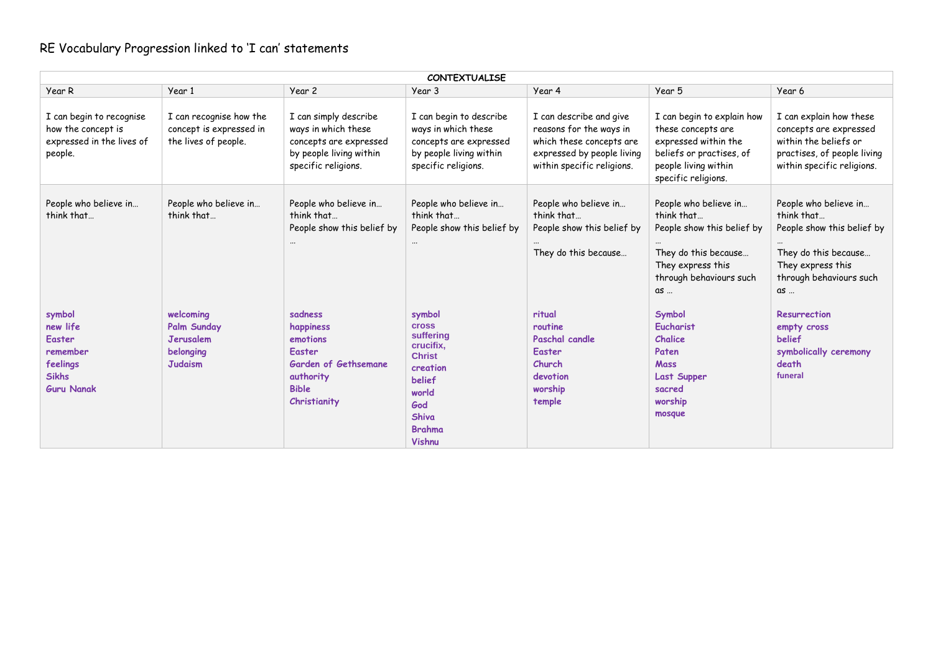| <b>CONTEXTUALISE</b>                                                                             |                                                                                    |                                                                                                                               |                                                                                                                                                                  |                                                                                                                                            |                                                                                                                                                     |                                                                                                                                                 |  |
|--------------------------------------------------------------------------------------------------|------------------------------------------------------------------------------------|-------------------------------------------------------------------------------------------------------------------------------|------------------------------------------------------------------------------------------------------------------------------------------------------------------|--------------------------------------------------------------------------------------------------------------------------------------------|-----------------------------------------------------------------------------------------------------------------------------------------------------|-------------------------------------------------------------------------------------------------------------------------------------------------|--|
| Year R                                                                                           | Year 1                                                                             | Year 2                                                                                                                        | Year 3                                                                                                                                                           | Year 4                                                                                                                                     | Year 5                                                                                                                                              | Year 6                                                                                                                                          |  |
| I can begin to recognise<br>how the concept is<br>expressed in the lives of<br>people.           | I can recognise how the<br>concept is expressed in<br>the lives of people.         | I can simply describe<br>ways in which these<br>concepts are expressed<br>by people living within<br>specific religions.      | I can begin to describe<br>ways in which these<br>concepts are expressed<br>by people living within<br>specific religions.                                       | I can describe and give<br>reasons for the ways in<br>which these concepts are<br>expressed by people living<br>within specific religions. | I can begin to explain how<br>these concepts are<br>expressed within the<br>beliefs or practises, of<br>people living within<br>specific religions. | I can explain how these<br>concepts are expressed<br>within the beliefs or<br>practises, of people living<br>within specific religions.         |  |
| People who believe in<br>think that                                                              | People who believe in<br>think that                                                | People who believe in<br>think that<br>People show this belief by                                                             | People who believe in<br>think that<br>People show this belief by                                                                                                | People who believe in<br>think that<br>People show this belief by<br>They do this because                                                  | People who believe in<br>think that<br>People show this belief by<br>They do this because<br>They express this<br>through behaviours such<br>as     | People who believe in<br>think that<br>People show this belief by<br>They do this because<br>They express this<br>through behaviours such<br>as |  |
| symbol<br>new life<br><b>Easter</b><br>remember<br>feelings<br><b>Sikhs</b><br><b>Guru Nanak</b> | welcoming<br><b>Palm Sunday</b><br><b>Jerusalem</b><br>belonging<br><b>Judaism</b> | sadness<br>happiness<br>emotions<br><b>Easter</b><br><b>Garden of Gethsemane</b><br>authority<br><b>Bible</b><br>Christianity | symbol<br><b>Cross</b><br>suffering<br>crucifix,<br><b>Christ</b><br>creation<br><b>belief</b><br>world<br>God<br><b>Shiva</b><br><b>Brahma</b><br><b>Vishnu</b> | ritual<br>routine<br>Paschal candle<br><b>Easter</b><br>Church<br>devotion<br>worship<br>temple                                            | Symbol<br><b>Eucharist</b><br>Chalice<br>Paten<br><b>Mass</b><br>Last Supper<br>sacred<br>worship<br>mosque                                         | <b>Resurrection</b><br>empty cross<br>belief<br>symbolically ceremony<br>death<br>funeral                                                       |  |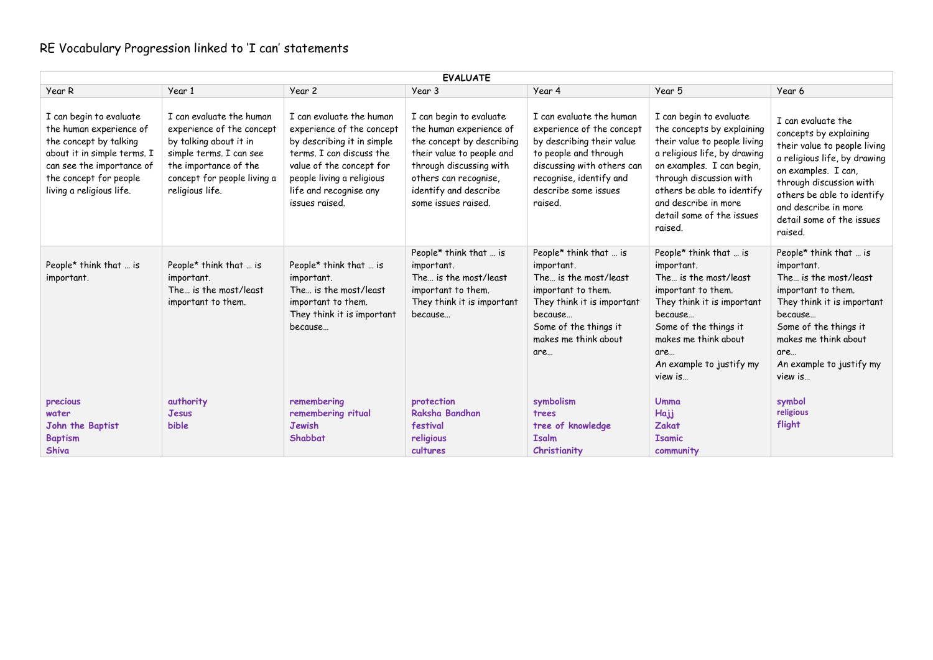| <b>EVALUATE</b>                                                                                                                                                                                |                                                                                                                                                                                       |                                                                                                                                                                                                                      |                                                                                                                                                                                                                  |                                                                                                                                                                                                         |                                                                                                                                                                                                                                                                             |                                                                                                                                                                                                                                                              |  |
|------------------------------------------------------------------------------------------------------------------------------------------------------------------------------------------------|---------------------------------------------------------------------------------------------------------------------------------------------------------------------------------------|----------------------------------------------------------------------------------------------------------------------------------------------------------------------------------------------------------------------|------------------------------------------------------------------------------------------------------------------------------------------------------------------------------------------------------------------|---------------------------------------------------------------------------------------------------------------------------------------------------------------------------------------------------------|-----------------------------------------------------------------------------------------------------------------------------------------------------------------------------------------------------------------------------------------------------------------------------|--------------------------------------------------------------------------------------------------------------------------------------------------------------------------------------------------------------------------------------------------------------|--|
| Year R                                                                                                                                                                                         | Year 1                                                                                                                                                                                | Year 2                                                                                                                                                                                                               | Year 3                                                                                                                                                                                                           | Year 4                                                                                                                                                                                                  | Year 5                                                                                                                                                                                                                                                                      | Year 6                                                                                                                                                                                                                                                       |  |
| I can begin to evaluate<br>the human experience of<br>the concept by talking<br>about it in simple terms. I<br>can see the importance of<br>the concept for people<br>living a religious life. | I can evaluate the human<br>experience of the concept<br>by talking about it in<br>simple terms. I can see<br>the importance of the<br>concept for people living a<br>religious life. | I can evaluate the human<br>experience of the concept<br>by describing it in simple<br>terms. I can discuss the<br>value of the concept for<br>people living a religious<br>life and recognise any<br>issues raised. | I can begin to evaluate<br>the human experience of<br>the concept by describing<br>their value to people and<br>through discussing with<br>others can recognise,<br>identify and describe<br>some issues raised. | I can evaluate the human<br>experience of the concept<br>by describing their value<br>to people and through<br>discussing with others can<br>recognise, identify and<br>describe some issues<br>raised. | I can begin to evaluate<br>the concepts by explaining<br>their value to people living<br>a religious life, by drawing<br>on examples. I can begin,<br>through discussion with<br>others be able to identify<br>and describe in more<br>detail some of the issues<br>raised. | I can evaluate the<br>concepts by explaining<br>their value to people living<br>a religious life, by drawing<br>on examples. I can.<br>through discussion with<br>others be able to identify<br>and describe in more<br>detail some of the issues<br>raised. |  |
| People* think that  is<br>important.                                                                                                                                                           | People* think that  is<br>important.<br>The is the most/least<br>important to them.                                                                                                   | People* think that  is<br>important.<br>The is the most/least<br>important to them.<br>They think it is important<br>because                                                                                         | People* think that  is<br>important.<br>The is the most/least<br>important to them.<br>They think it is important<br>because                                                                                     | People* think that  is<br>important.<br>The is the most/least<br>important to them.<br>They think it is important<br>because<br>Some of the things it<br>makes me think about<br>are                    | People* think that  is<br>important.<br>The is the most/least<br>important to them.<br>They think it is important<br>because<br>Some of the things it<br>makes me think about<br>are<br>An example to justify my<br>view is                                                 | People* think that  is<br>important.<br>The is the most/least<br>important to them.<br>They think it is important<br>because<br>Some of the things it<br>makes me think about<br>are<br>An example to justify my<br>view is                                  |  |
| precious<br>water<br>John the Baptist<br><b>Baptism</b><br><b>Shiva</b>                                                                                                                        | authority<br>Jesus<br>bible                                                                                                                                                           | remembering<br>remembering ritual<br><b>Jewish</b><br>Shabbat                                                                                                                                                        | protection<br>Raksha Bandhan<br>festival<br>religious<br>cultures                                                                                                                                                | symbolism<br>trees<br>tree of knowledge<br><b>Isalm</b><br>Christianity                                                                                                                                 | Umma<br>Hajj<br><b>Zakat</b><br><b>Isamic</b><br>community                                                                                                                                                                                                                  | symbol<br>religious<br>flight                                                                                                                                                                                                                                |  |